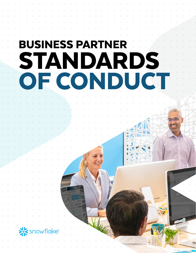# BUSINESS PARTNER STANDARDS OF CONDUCT

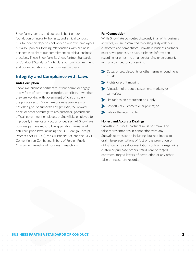Snowflake's identity and success is built on our foundation of integrity, honesty, and ethical conduct. Our foundation depends not only on our own employees but also upon our forming relationships with business partners who share our commitment to ethical business practices. These Snowflake Business Partner Standards of Conduct ("Standards") articulate our own commitment and our expectations of our business partners.

# Integrity and Compliance with Laws

# Anti-Corruption

Snowflake business partners must not permit or engage in any form of corruption, extortion, or bribery – whether they are working with government officials or solely in the private sector. Snowflake business partners must not offer, give, or authorize any gift, loan, fee, reward, bribe, or other advantage to any customer, government official, government employee, or Snowflake employee to improperly influence any action or decision. All Snowflake business partners must follow applicable international anti-corruption laws, including the U.S. Foreign Corrupt Practices Act ("FCPA"), the UK Bribery Act, and the OECD Convention on Combating Bribery of Foreign Public Officials in International Business Transactions.

# Fair Competition

While Snowflake competes vigorously in all of its business activities, we are committed to dealing fairly with our customers and competitors. Snowflake business partners must never propose, discuss, exchange information regarding, or enter into an understanding or agreement, with any competitor concerning:

- Costs, prices, discounts or other terms or conditions of sale;
- Profits or profit margins;
- Allocation of product, customers, markets, or territories;
- **Example 1** Limitations on production or supply;
- Boycotts of customers or suppliers; or
- Bids or the intent to bid.

## Honest and Accurate Dealings

Snowflake business partners must not make any false representations in connection with any Snowflake transaction including, but not limited to, oral misrepresentations of fact or the promotion or utilization of false documentation such as non-genuine customer purchase orders, fraudulent or forged contracts, forged letters of destruction or any other false or inaccurate records.

#### BUSINESS PARTNER STANDARDS OF CONDUCT 2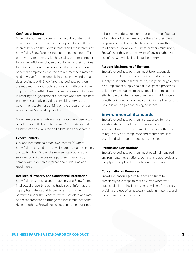## Conflicts of Interest

Snowflake business partners must avoid activities that create or appear to create actual or potential conflicts of interest between their own interests and the interests of Snowflake. Snowflake business partners must not offer or provide gifts or excessive hospitality or entertainment to any Snowflake employee or customer or their families to obtain or retain business or to influence a decision. Snowflake employees and their family members may not hold any significant economic interest in any entity that does business with Snowflake, and business partners are required to avoid such relationships with Snowflake employees. Snowflake business partners may not engage in reselling to a government customer when the business partner has already provided consulting services to the government customer advising on the procurement of services that Snowflake provides.

Snowflake business partners must proactively raise actual or potential conflicts of interest with Snowflake so that the situation can be evaluated and addressed appropriately.

# Export Controls

U.S. and international trade laws control (a) where Snowflake may send or receive its products and services, and (b) to whom Snowflake may sell its products and services. Snowflake business partners must strictly comply with applicable international trade laws and regulations.

#### Intellectual Property and Confidential Information

Snowflake business partners may only use Snowflake's intellectual property, such as trade secret information, copyrights, patents and trademarks, in a manner permitted under their contract with Snowflake and may not misappropriate or infringe the intellectual property rights of others. Snowflake business partners must not

misuse any trade secrets or proprietary or confidential information of Snowflake or of others for their own purposes or disclose such information to unauthorized third parties. Snowflake business partners must notify Snowflake if they become aware of any unauthorized use of the Snowflake intellectual property.

#### Responsible Sourcing of Elements

Snowflake business partners must take reasonable measures to determine whether the products they supply to us contain tantalum, tin, tungsten, or gold, and, if so, implement supply chain due diligence processes to identify the sources of these metals and to support efforts to eradicate the use of minerals that finance – directly or indirectly -- armed conflict in the Democratic Republic of Congo or adjoining countries.

# Environmental Standards

Snowflake business partners are expected to have a systematic approach to the management of risks associated with the environment – including the risk of regulatory non-compliance and reputational loss associated with poor product stewardship.

#### Permits and Registrations

Snowflake business partners must obtain all required environmental registrations, permits, and approvals and comply with applicable reporting requirements.

#### Conservation of Resources

Snowflake encourages its business partners to proactively take steps to reduce waste whenever practicable, including increasing recycling of materials, avoiding the use of unnecessary packing materials, and conserving scarce resources.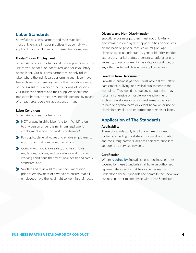# Labor Standards

Snowflake business partners and their suppliers must only engage in labor practices that comply with applicable laws, including anti-human trafficking laws.

# Freely Chosen Employment

Snowflake business partners and their suppliers must not use forced, bonded, or indentured labor or involuntary prison labor. Our business partners must only utilize labor where the individuals performing such labor have freely chosen such employment – their workforce must not be a result of slavery or the trafficking of persons. Our business partners and their suppliers should not transport, harbor, or recruit vulnerable persons by means of threat, force, coercion, abduction, or fraud.

# Labor Conditions

Snowflake business partners must:

- NOT engage in child labor (the term "child" refers to any person under the minimum legal age for employment where the work is performed);
- Pay applicable legal wages and enable employees to work hours that comply with local laws;
- S Comply with applicable safety and health laws, regulations, policies, and procedures and provide working conditions that meet local health and safety standards; and
- Validate and review all relevant documentation prior to employment of a worker to ensure that all employees have the legal right to work in their local.

# Diversity and Non-Discrimination

Snowflake business partners must not unlawfully discriminate in employment opportunities or practices on the basis of gender, race, color, religion, age, citizenship, sexual orientation, gender identity, gender expression, marital status, pregnancy, national origin, ancestry, physical or mental disability or condition, or any other protected class under applicable laws.

# Freedom from Harassment

Snowflake business partners must never allow unlawful harassment, bullying, or physical punishment in the workplace. This would include any conduct that may foster an offensive or hostile work environment, such as unwelcome or unsolicited sexual advances, threats of physical harm or violent behavior, or use of discriminatory slurs or inappropriate remarks or jokes.

# Application of The Standards

## Applicability

These Standards apply to all Snowflake business partners, including our distributors, resellers, solution and consulting partners, alliances partners, suppliers, vendors, and service providers.

#### **Certification**

Where required by Snowflake, each business partner covered by these Standards shall have an authorized representative certify that he or she has read and understood these Standards and commits the Snowflake business partner to complying with these Standards.

#### BUSINESS PARTNER STANDARDS OF CONDUCT 4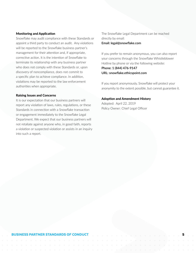## Monitoring and Application

Snowflake may audit compliance with these Standards or appoint a third party to conduct an audit. Any violations will be reported to the Snowflake business partner's management for their attention and, if appropriate, corrective action. It is the intention of Snowflake to terminate its relationship with any business partner who does not comply with these Standards or, upon discovery of noncompliance, does not commit to a specific plan to achieve compliance. In addition, violations may be reported to the law enforcement authorities when appropriate.

#### Raising Issues and Concerns

It is our expectation that our business partners will report any violation of laws, rules, regulations, or these Standards in connection with a Snowflake transaction or engagement immediately to the Snowflake Legal Department. We expect that our business partners will not retaliate against anyone who, in good faith, reports a violation or suspected violation or assists in an inquiry into such a report.

The Snowflake Legal Department can be reached directly by email:

# **Email: legal@snowflake.com**

If you prefer to remain anonymous, you can also report your concerns through the Snowflake Whistleblower Hotline by phone or via the following website: **Phone: 1 (844) 476-9147 URL: snowflake.ethicspoint.com**

If you report anonymously, Snowflake will protect your anonymity to the extent possible, but cannot guarantee it.

# Adoption and Amendment History

Adopted: April 22, 2019 Policy Owner: Chief Legal Officer